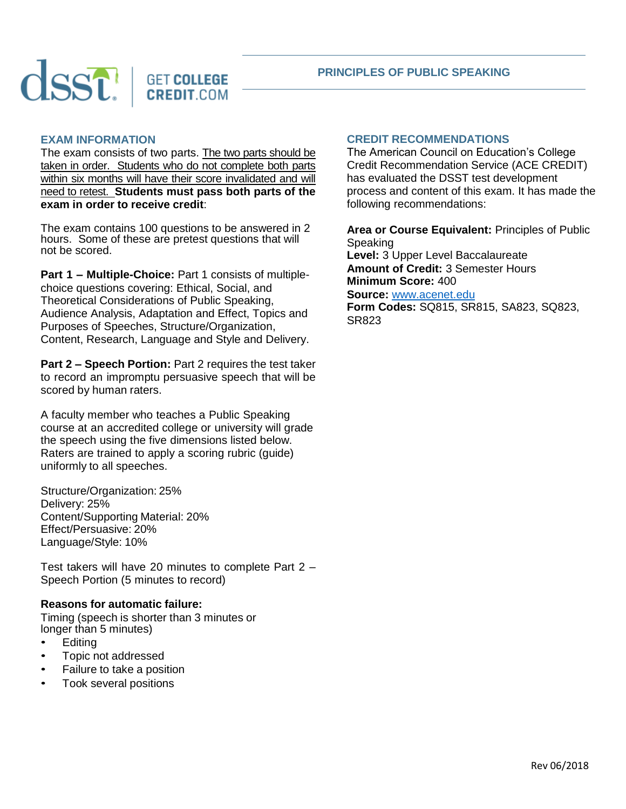

### **PRINCIPLES OF PUBLIC SPEAKING**

#### **EXAM INFORMATION**

The exam consists of two parts. The two parts should be taken in order. Students who do not complete both parts within six months will have their score invalidated and will need to retest. **Students must pass both parts of the exam in order to receive credit**:

The exam contains 100 questions to be answered in 2 hours. Some of these are pretest questions that will not be scored.

**Part 1 – Multiple-Choice:** Part 1 consists of multiplechoice questions covering: Ethical, Social, and Theoretical Considerations of Public Speaking, Audience Analysis, Adaptation and Effect, Topics and Purposes of Speeches, Structure/Organization, Content, Research, Language and Style and Delivery.

**Part 2 – Speech Portion:** Part 2 requires the test taker to record an impromptu persuasive speech that will be scored by human raters.

A faculty member who teaches a Public Speaking course at an accredited college or university will grade the speech using the five dimensions listed below. Raters are trained to apply a scoring rubric (guide) uniformly to all speeches.

Structure/Organization: 25% Delivery: 25% Content/Supporting Material: 20% Effect/Persuasive: 20% Language/Style: 10%

Test takers will have 20 minutes to complete Part 2 – Speech Portion (5 minutes to record)

#### **Reasons for automatic failure:**

• Timing (speech is shorter than 3 minutes or longer than 5 minutes)

- Editing
- Topic not addressed
- Failure to take a position
- Took several positions

# **CREDIT RECOMMENDATIONS**

The American Council on Education's College Credit Recommendation Service (ACE CREDIT) has evaluated the DSST test development process and content of this exam. It has made the following recommendations:

**Area or Course Equivalent:** Principles of Public **Speaking Level:** 3 Upper Level Baccalaureate **Amount of Credit:** 3 Semester Hours **Minimum Score:** 400 **Source:** [www.acenet.edu](http://www.acenet.edu/) **Form Codes:** SQ815, SR815, SA823, SQ823,

SR823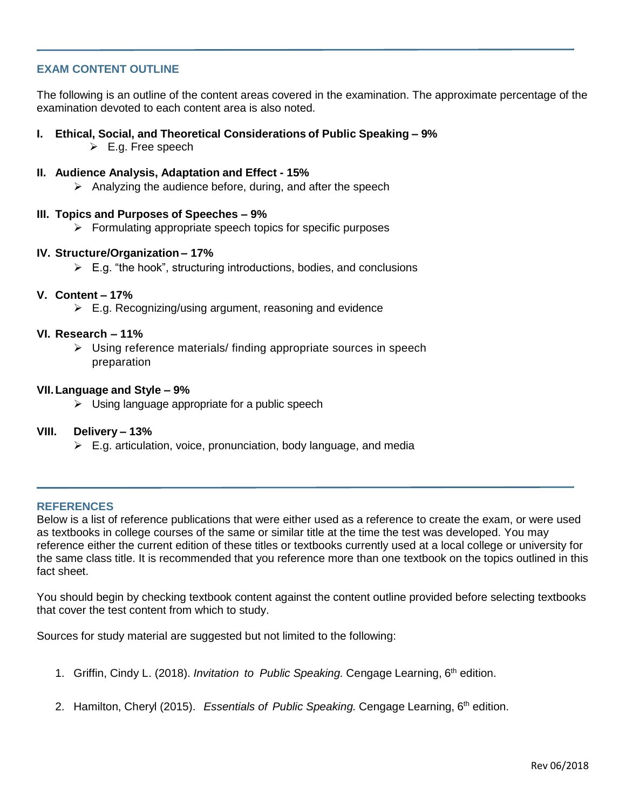# **EXAM CONTENT OUTLINE**

The following is an outline of the content areas covered in the examination. The approximate percentage of the examination devoted to each content area is also noted.

- **I. Ethical, Social, and Theoretical Considerations of Public Speaking – 9%** 
	- $\triangleright$  E.g. Free speech
- **II. Audience Analysis, Adaptation and Effect - 15%**
	- $\triangleright$  Analyzing the audience before, during, and after the speech

# **III. Topics and Purposes of Speeches – 9%**

 $\triangleright$  Formulating appropriate speech topics for specific purposes

### **IV. Structure/Organization – 17%**

 $\triangleright$  E.g. "the hook", structuring introductions, bodies, and conclusions

# **V. Content – 17%**

 $\triangleright$  E.g. Recognizing/using argument, reasoning and evidence

# **VI. Research – 11%**

 $\triangleright$  Using reference materials/ finding appropriate sources in speech preparation

### **VII.Language and Style – 9%**

 $\triangleright$  Using language appropriate for a public speech

### **VIII. Delivery – 13%**

 $\triangleright$  E.g. articulation, voice, pronunciation, body language, and media

# **REFERENCES**

Below is a list of reference publications that were either used as a reference to create the exam, or were used as textbooks in college courses of the same or similar title at the time the test was developed. You may reference either the current edition of these titles or textbooks currently used at a local college or university for the same class title. It is recommended that you reference more than one textbook on the topics outlined in this fact sheet.

You should begin by checking textbook content against the content outline provided before selecting textbooks that cover the test content from which to study.

Sources for study material are suggested but not limited to the following:

- 1. Griffin, Cindy L. (2018). *Invitation to Public Speaking.* Cengage Learning, 6 th edition.
- 2. Hamilton, Cheryl (2015). *Essentials of Public Speaking.* Cengage Learning, 6 th edition.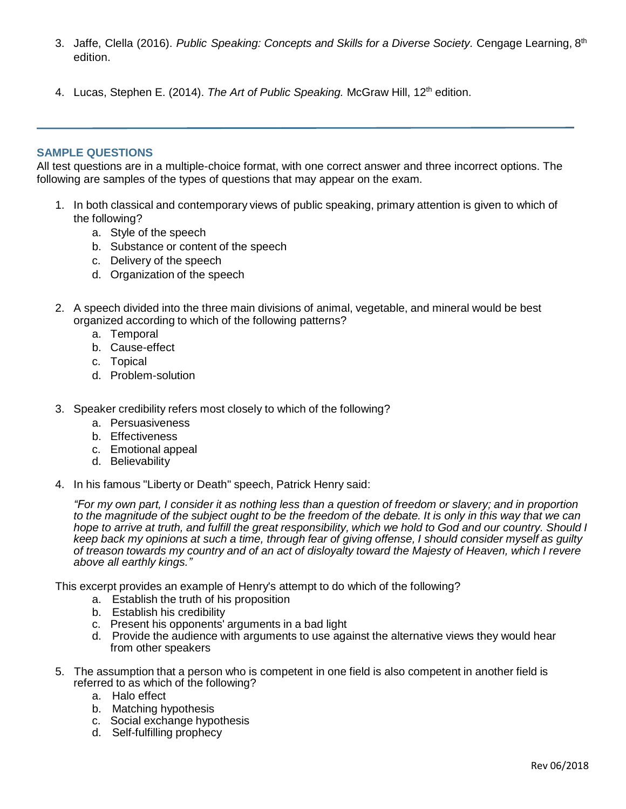- 3. Jaffe, Clella (2016). *Public Speaking: Concepts and Skills for a Diverse Society.* Cengage Learning, 8 th edition.
- 4. Lucas, Stephen E. (2014). *The Art of Public Speaking*. McGraw Hill, 12<sup>th</sup> edition.

# **SAMPLE QUESTIONS**

All test questions are in a multiple-choice format, with one correct answer and three incorrect options. The following are samples of the types of questions that may appear on the exam.

- 1. In both classical and contemporary views of public speaking, primary attention is given to which of the following?
	- a. Style of the speech
	- b. Substance or content of the speech
	- c. Delivery of the speech
	- d. Organization of the speech
- 2. A speech divided into the three main divisions of animal, vegetable, and mineral would be best organized according to which of the following patterns?
	- a. Temporal
	- b. Cause-effect
	- c. Topical
	- d. Problem-solution
- 3. Speaker credibility refers most closely to which of the following?
	- a. Persuasiveness
	- b. Effectiveness
	- c. Emotional appeal
	- d. Believability
- 4. In his famous "Liberty or Death" speech, Patrick Henry said:

"For my own part, I consider it as nothing less than a question of freedom or slavery; and in proportion to the magnitude of the subject ought to be the freedom of the debate. It is only in this way that we can hope to arrive at truth, and fulfill the great responsibility, which we hold to God and our country. Should I *keep back my opinions at such a time, through fear of giving offense, I should consider myself as guilty of treason towards my country and of an act of disloyalty toward the Majesty of Heaven, which I revere above all earthly kings."*

This excerpt provides an example of Henry's attempt to do which of the following?

- a. Establish the truth of his proposition
- b. Establish his credibility
- c. Present his opponents' arguments in a bad light
- d. Provide the audience with arguments to use against the alternative views they would hear from other speakers
- 5. The assumption that a person who is competent in one field is also competent in another field is referred to as which of the following?
	- a. Halo effect
	- b. Matching hypothesis
	- c. Social exchange hypothesis
	- d. Self-fulfilling prophecy